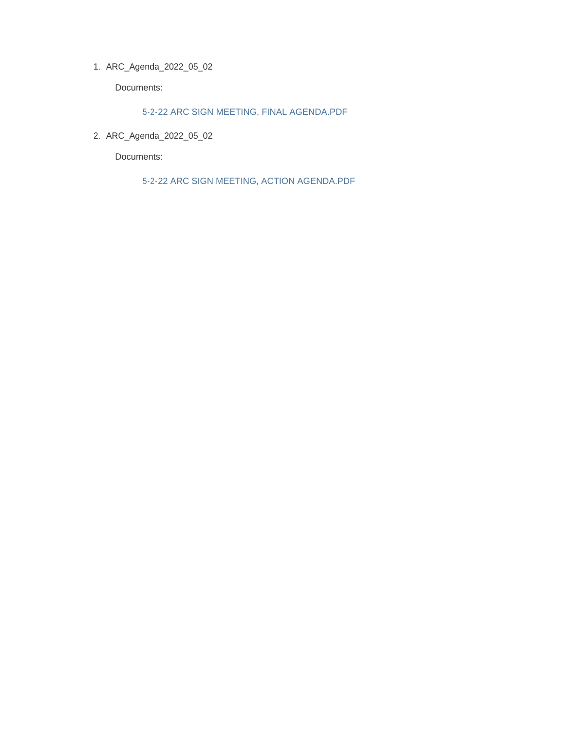ARC\_Agenda\_2022\_05\_02 1.

Documents:

5-2-22 ARC SIGN MEETING, FINAL AGENDA.PDF

ARC\_Agenda\_2022\_05\_02 2.

Documents:

5-2-22 ARC SIGN MEETING, ACTION AGENDA.PDF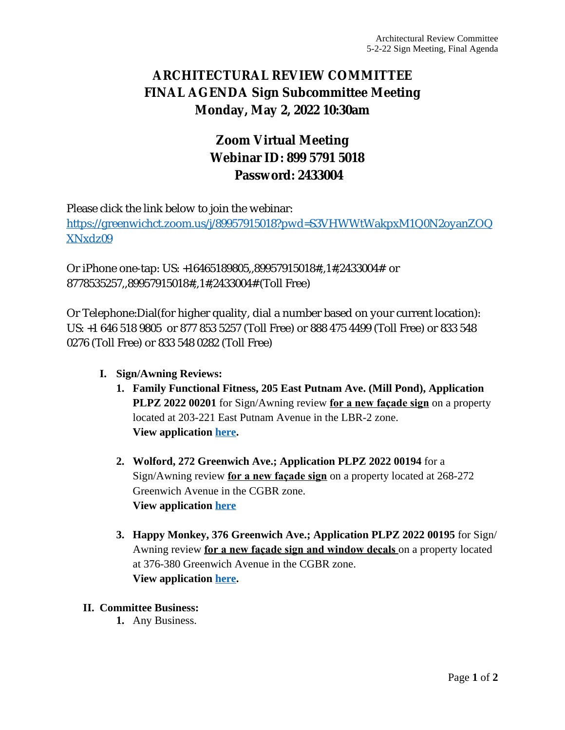### **ARCHITECTURAL REVIEW COMMITTEE FINAL AGENDA Sign Subcommittee Meeting Monday, May 2, 2022 10:30am**

# **Zoom Virtual Meeting Webinar ID: 899 5791 5018 Password: 2433004**

Please click the link below to join the webinar:

[https://greenwichct.zoom.us/j/89957915018?pwd=S3VHWWtWakpxM1Q0N2oyanZOQ](https://greenwichct.zoom.us/j/89957915018?pwd=S3VHWWtWakpxM1Q0N2oyanZOQXNxdz09) XNxdz09

Or iPhone one-tap: US: +16465189805,,89957915018#,,1#,2433004# or 8778535257,,89957915018#,,1#,2433004# (Toll Free)

Or Telephone:Dial(for higher quality, dial a number based on your current location): US: +1 646 518 9805 or 877 853 5257 (Toll Free) or 888 475 4499 (Toll Free) or 833 548 0276 (Toll Free) or 833 548 0282 (Toll Free)

- **I. Sign/Awning Reviews:**
	- **1. Family Functional Fitness, 205 East Putnam Ave. (Mill Pond), Application PLPZ 2022 00201** for Sign/Awning review **for a new façade sign** on a property located at 203-221 East Putnam Avenue in the LBR-2 zone. **View application [here.](https://www.greenwichct.gov/DocumentCenter/View/30836/205-EPA-PLPZ-202200201-ARC-SA)**
	- **2. Wolford, 272 Greenwich Ave.; Application PLPZ 2022 00194** for a Sign/Awning review **for a new façade sign** on a property located at 268-272 Greenwich Avenue in the CGBR zone. **View application [here](https://www.greenwichct.gov/DocumentCenter/View/30837/272-Gwich-Ave-Wolford-PLPZ-202200194)**
	- **3. Happy Monkey, 376 Greenwich Ave.; Application PLPZ 2022 00195** for Sign/ Awning review **for a new façade sign and window decals** on a property located at 376-380 Greenwich Avenue in the CGBR zone. **View application [here.](https://www.greenwichct.gov/DocumentCenter/View/30838/Hppy-Monkey-376-Gwich-Ave-PLPZ202200195)**
- **II. Committee Business:**
	- **1.** Any Business.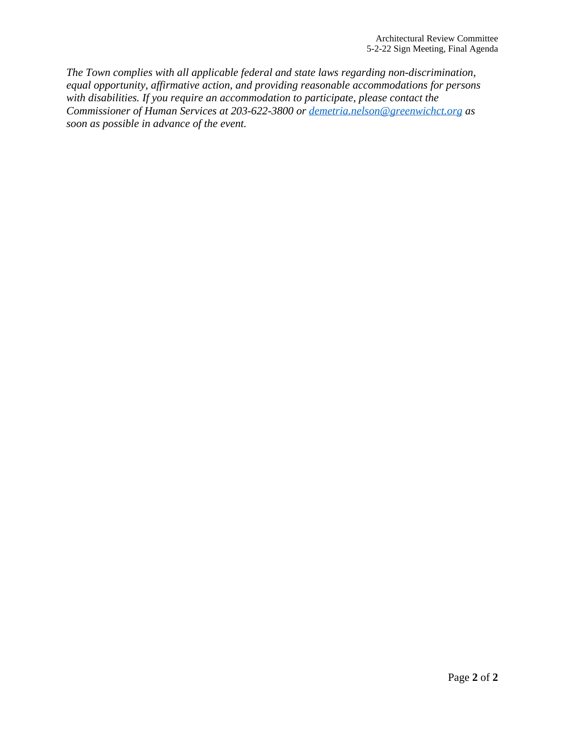*The Town complies with all applicable federal and state laws regarding non-discrimination, equal opportunity, affirmative action, and providing reasonable accommodations for persons with disabilities. If you require an accommodation to participate, please contact the Commissioner of Human Services at 203-622-3800 or [demetria.nelson@greenwichct.org](mailto:demetria.nelson@greenwichct.org) as soon as possible in advance of the event.*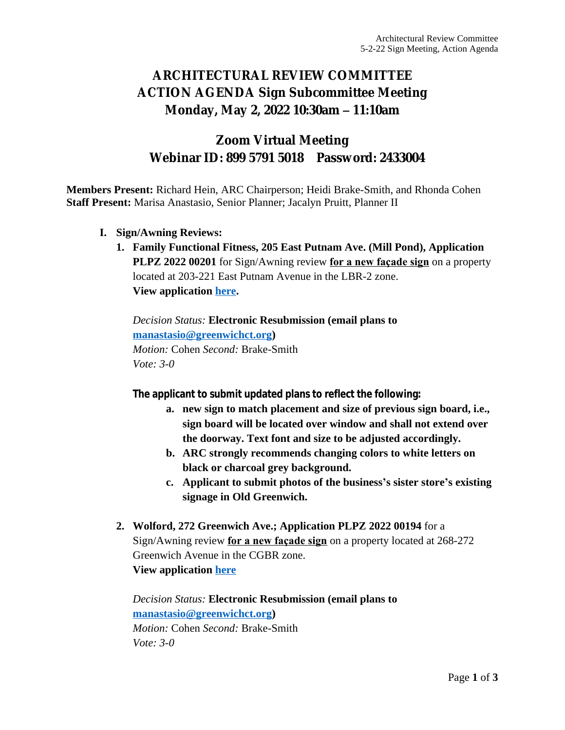# **ARCHITECTURAL REVIEW COMMITTEE ACTION AGENDA Sign Subcommittee Meeting Monday, May 2, 2022 10:30am – 11:10am**

#### **Zoom Virtual Meeting Webinar ID: 899 5791 5018 Password: 2433004**

**Members Present:** Richard Hein, ARC Chairperson; Heidi Brake-Smith, and Rhonda Cohen **Staff Present:** Marisa Anastasio, Senior Planner; Jacalyn Pruitt, Planner II

- **I. Sign/Awning Reviews:**
	- **1. Family Functional Fitness, 205 East Putnam Ave. (Mill Pond), Application PLPZ 2022 00201** for Sign/Awning review **for a new façade sign** on a property located at 203-221 East Putnam Avenue in the LBR-2 zone. **View application [here.](https://www.greenwichct.gov/DocumentCenter/View/30836/205-EPA-PLPZ-202200201-ARC-SA)**

*Decision Status:* **Electronic Resubmission (email plans to [manastasio@greenwichct.org\)](mailto:manastasio@greenwichct.org)** *Motion:* Cohen *Second:* Brake-Smith *Vote: 3-0*

**The applicant to submit updated plans to reflect the following:**

- **a. new sign to match placement and size of previous sign board, i.e., sign board will be located over window and shall not extend over the doorway. Text font and size to be adjusted accordingly.**
- **b. ARC strongly recommends changing colors to white letters on black or charcoal grey background.**
- **c. Applicant to submit photos of the business's sister store's existing signage in Old Greenwich.**
- **2. Wolford, 272 Greenwich Ave.; Application PLPZ 2022 00194** for a Sign/Awning review **for a new façade sign** on a property located at 268-272 Greenwich Avenue in the CGBR zone. **View application [here](https://www.greenwichct.gov/DocumentCenter/View/30837/272-Gwich-Ave-Wolford-PLPZ-202200194)**

*Decision Status:* **Electronic Resubmission (email plans to [manastasio@greenwichct.org\)](mailto:manastasio@greenwichct.org)** *Motion:* Cohen *Second:* Brake-Smith *Vote: 3-0*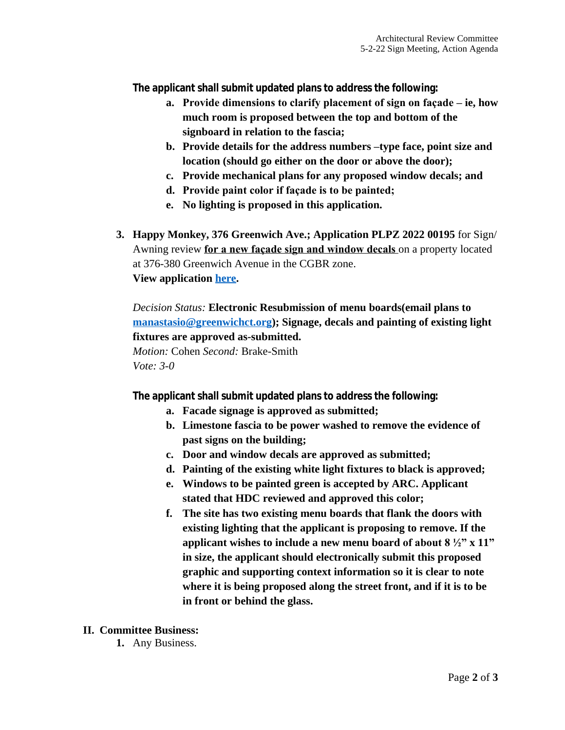**The applicant shall submit updated plans to address the following:**

- **a. Provide dimensions to clarify placement of sign on façade – ie, how much room is proposed between the top and bottom of the signboard in relation to the fascia;**
- **b. Provide details for the address numbers –type face, point size and location (should go either on the door or above the door);**
- **c. Provide mechanical plans for any proposed window decals; and**
- **d. Provide paint color if façade is to be painted;**
- **e. No lighting is proposed in this application.**
- **3. Happy Monkey, 376 Greenwich Ave.; Application PLPZ 2022 00195** for Sign/ Awning review **for a new façade sign and window decals** on a property located at 376-380 Greenwich Avenue in the CGBR zone. **View application [here.](https://www.greenwichct.gov/DocumentCenter/View/30838/Hppy-Monkey-376-Gwich-Ave-PLPZ202200195)**

*Decision Status:* **Electronic Resubmission of menu boards(email plans to [manastasio@greenwichct.org\)](mailto:manastasio@greenwichct.org); Signage, decals and painting of existing light fixtures are approved as-submitted.** 

*Motion:* Cohen *Second:* Brake-Smith *Vote: 3-0*

**The applicant shall submit updated plans to address the following:**

- **a. Facade signage is approved as submitted;**
- **b. Limestone fascia to be power washed to remove the evidence of past signs on the building;**
- **c. Door and window decals are approved as submitted;**
- **d. Painting of the existing white light fixtures to black is approved;**
- **e. Windows to be painted green is accepted by ARC. Applicant stated that HDC reviewed and approved this color;**
- **f. The site has two existing menu boards that flank the doors with existing lighting that the applicant is proposing to remove. If the applicant wishes to include a new menu board of about 8 ½" x 11" in size, the applicant should electronically submit this proposed graphic and supporting context information so it is clear to note where it is being proposed along the street front, and if it is to be in front or behind the glass.**

#### **II. Committee Business:**

**1.** Any Business.